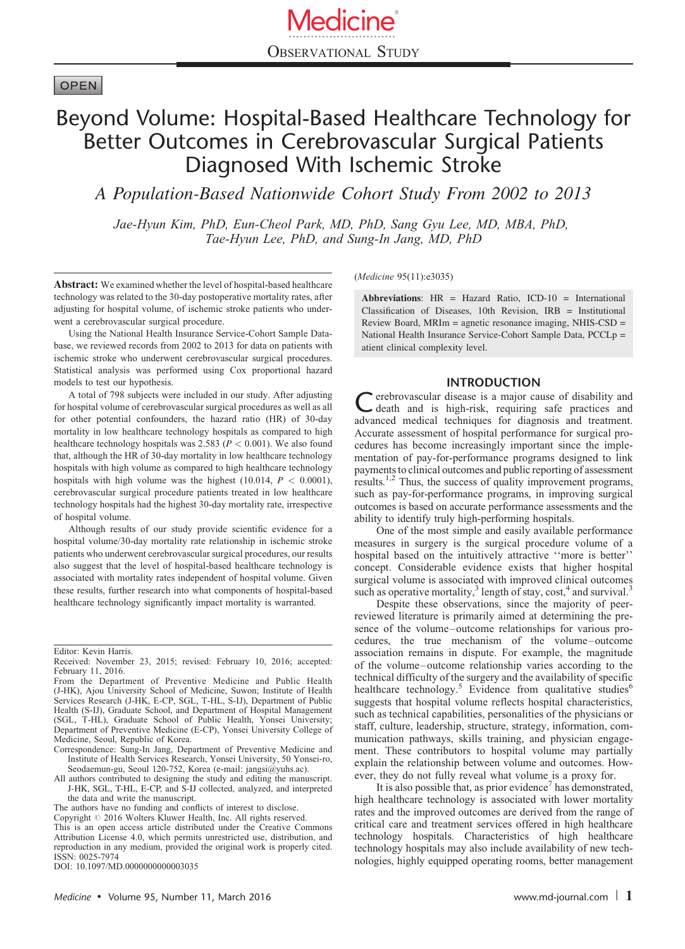# **OPEN**

# Beyond Volume: Hospital-Based Healthcare Technology for Better Outcomes in Cerebrovascular Surgical Patients Diagnosed With Ischemic Stroke

A Population-Based Nationwide Cohort Study From 2002 to 2013

Jae-Hyun Kim, PhD, Eun-Cheol Park, MD, PhD, Sang Gyu Lee, MD, MBA, PhD, Tae-Hyun Lee, PhD, and Sung-In Jang, MD, PhD

Abstract: We examined whether the level of hospital-based healthcare technology was related to the 30-day postoperative mortality rates, after adjusting for hospital volume, of ischemic stroke patients who underwent a cerebrovascular surgical procedure.

Using the National Health Insurance Service-Cohort Sample Database, we reviewed records from 2002 to 2013 for data on patients with ischemic stroke who underwent cerebrovascular surgical procedures. Statistical analysis was performed using Cox proportional hazard models to test our hypothesis.

A total of 798 subjects were included in our study. After adjusting for hospital volume of cerebrovascular surgical procedures as well as all for other potential confounders, the hazard ratio (HR) of 30-day mortality in low healthcare technology hospitals as compared to high healthcare technology hospitals was 2.583 ( $P < 0.001$ ). We also found that, although the HR of 30-day mortality in low healthcare technology hospitals with high volume as compared to high healthcare technology hospitals with high volume was the highest (10.014,  $P < 0.0001$ ), cerebrovascular surgical procedure patients treated in low healthcare technology hospitals had the highest 30-day mortality rate, irrespective of hospital volume.

Although results of our study provide scientific evidence for a hospital volume/30-day mortality rate relationship in ischemic stroke patients who underwent cerebrovascular surgical procedures, our results also suggest that the level of hospital-based healthcare technology is associated with mortality rates independent of hospital volume. Given these results, further research into what components of hospital-based healthcare technology significantly impact mortality is warranted.

Editor: Kevin Harris.

Correspondence: Sung-In Jang, Department of Preventive Medicine and Institute of Health Services Research, Yonsei University, 50 Yonsei-ro, Seodaemun-gu, Seoul 120-752, Korea (e-mail: jangsi@yuhs.ac).

All authors contributed to designing the study and editing the manuscript. J-HK, SGL, T-HL, E-CP, and S-IJ collected, analyzed, and interpreted the data and write the manuscript.

The authors have no funding and conflicts of interest to disclose.

Copyright @ 2016 Wolters Kluwer Health, Inc. All rights reserved.

(Medicine 95(11):e3035)

Abbreviations: HR = Hazard Ratio, ICD-10 = International Classification of Diseases, 10th Revision, IRB = Institutional Review Board, MRIm = agnetic resonance imaging, NHIS-CSD = National Health Insurance Service-Cohort Sample Data, PCCLp = atient clinical complexity level.

## INTRODUCTION

Cerebrovascular disease is a major cause of disability and death and is high-risk, requiring safe practices and advanced medical techniques for diagnosis and treatment. Accurate assessment of hospital performance for surgical procedures has become increasingly important since the implementation of pay-for-performance programs designed to link payments to clinical outcomes and public reporting of assessment results.<sup>1,2</sup> Thus, the success of quality improvement programs, such as pay-for-performance programs, in improving surgical outcomes is based on accurate performance assessments and the ability to identify truly high-performing hospitals.

One of the most simple and easily available performance measures in surgery is the surgical procedure volume of a hospital based on the intuitively attractive ''more is better'' concept. Considerable evidence exists that higher hospital surgical volume is associated with improved clinical outcomes such as operative mortality,<sup>[3](#page-8-0)</sup> length of stay,  $cost<sub>i</sub><sup>4</sup>$  $cost<sub>i</sub><sup>4</sup>$  $cost<sub>i</sub><sup>4</sup>$  and survival.<sup>3</sup>

Despite these observations, since the majority of peerreviewed literature is primarily aimed at determining the presence of the volume–outcome relationships for various procedures, the true mechanism of the volume–outcome association remains in dispute. For example, the magnitude of the volume–outcome relationship varies according to the technical difficulty of the surgery and the availability of specific healthcare technology.<sup>[5](#page-8-0)</sup> Evidence from qualitative studies<sup>[6](#page-8-0)</sup> suggests that hospital volume reflects hospital characteristics, such as technical capabilities, personalities of the physicians or staff, culture, leadership, structure, strategy, information, communication pathways, skills training, and physician engagement. These contributors to hospital volume may partially explain the relationship between volume and outcomes. However, they do not fully reveal what volume is a proxy for.

It is also possible that, as prior evidence<sup>7</sup> has demonstrated, high healthcare technology is associated with lower mortality rates and the improved outcomes are derived from the range of critical care and treatment services offered in high healthcare technology hospitals. Characteristics of high healthcare technology hospitals may also include availability of new technologies, highly equipped operating rooms, better management

Received: November 23, 2015; revised: February 10, 2016; accepted: February 11, 2016.

From the Department of Preventive Medicine and Public Health (J-HK), Ajou University School of Medicine, Suwon; Institute of Health Services Research (J-HK, E-CP, SGL, T-HL, S-IJ), Department of Public Health (S-IJ), Graduate School, and Department of Hospital Management (SGL, T-HL), Graduate School of Public Health, Yonsei University; Department of Preventive Medicine (E-CP), Yonsei University College of Medicine, Seoul, Republic of Korea.

This is an open access article distributed under the Creative Commons Attribution License 4.0, which permits unrestricted use, distribution, and reproduction in any medium, provided the original work is properly cited. ISSN: 0025-7974

DOI: [10.1097/MD.0000000000003035](http://dx.doi.org/10.1097/MD.0000000000003035)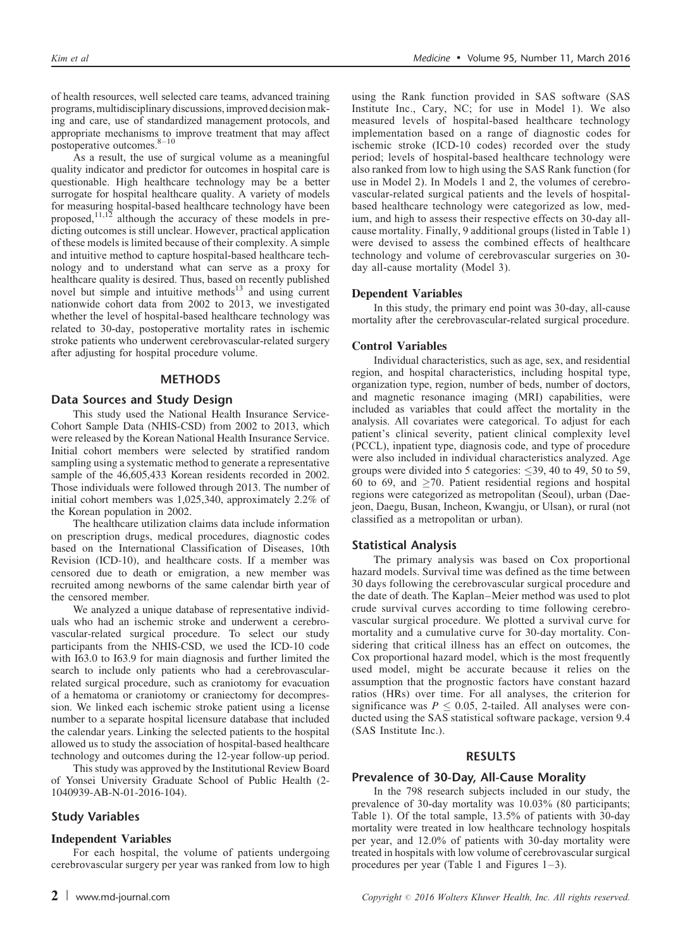of health resources, well selected care teams, advanced training programs, multidisciplinary discussions, improved decision making and care, use of standardized management protocols, and appropriate mechanisms to improve treatment that may affect postoperative outcomes[.8–10](#page-8-0)

As a result, the use of surgical volume as a meaningful quality indicator and predictor for outcomes in hospital care is questionable. High healthcare technology may be a better surrogate for hospital healthcare quality. A variety of models for measuring hospital-based healthcare technology have been proposed,<sup>[11,12](#page-9-0)</sup> although the accuracy of these models in predicting outcomes is still unclear. However, practical application of these models is limited because of their complexity. A simple and intuitive method to capture hospital-based healthcare technology and to understand what can serve as a proxy for healthcare quality is desired. Thus, based on recently published novel but simple and intuitive methods $13$  and using current nationwide cohort data from 2002 to 2013, we investigated whether the level of hospital-based healthcare technology was related to 30-day, postoperative mortality rates in ischemic stroke patients who underwent cerebrovascular-related surgery after adjusting for hospital procedure volume.

## METHODS

## Data Sources and Study Design

This study used the National Health Insurance Service-Cohort Sample Data (NHIS-CSD) from 2002 to 2013, which were released by the Korean National Health Insurance Service. Initial cohort members were selected by stratified random sampling using a systematic method to generate a representative sample of the 46,605,433 Korean residents recorded in 2002. Those individuals were followed through 2013. The number of initial cohort members was 1,025,340, approximately 2.2% of the Korean population in 2002.

The healthcare utilization claims data include information on prescription drugs, medical procedures, diagnostic codes based on the International Classification of Diseases, 10th Revision (ICD-10), and healthcare costs. If a member was censored due to death or emigration, a new member was recruited among newborns of the same calendar birth year of the censored member.

We analyzed a unique database of representative individuals who had an ischemic stroke and underwent a cerebrovascular-related surgical procedure. To select our study participants from the NHIS-CSD, we used the ICD-10 code with I63.0 to I63.9 for main diagnosis and further limited the search to include only patients who had a cerebrovascularrelated surgical procedure, such as craniotomy for evacuation of a hematoma or craniotomy or craniectomy for decompression. We linked each ischemic stroke patient using a license number to a separate hospital licensure database that included the calendar years. Linking the selected patients to the hospital allowed us to study the association of hospital-based healthcare technology and outcomes during the 12-year follow-up period.

This study was approved by the Institutional Review Board of Yonsei University Graduate School of Public Health (2- 1040939-AB-N-01-2016-104).

# Study Variables

### Independent Variables

For each hospital, the volume of patients undergoing cerebrovascular surgery per year was ranked from low to high using the Rank function provided in SAS software (SAS Institute Inc., Cary, NC; for use in Model 1). We also measured levels of hospital-based healthcare technology implementation based on a range of diagnostic codes for ischemic stroke (ICD-10 codes) recorded over the study period; levels of hospital-based healthcare technology were also ranked from low to high using the SAS Rank function (for use in Model 2). In Models 1 and 2, the volumes of cerebrovascular-related surgical patients and the levels of hospitalbased healthcare technology were categorized as low, medium, and high to assess their respective effects on 30-day allcause mortality. Finally, 9 additional groups (listed in [Table 1](#page-2-0)) were devised to assess the combined effects of healthcare technology and volume of cerebrovascular surgeries on 30 day all-cause mortality (Model 3).

### Dependent Variables

In this study, the primary end point was 30-day, all-cause mortality after the cerebrovascular-related surgical procedure.

#### Control Variables

Individual characteristics, such as age, sex, and residential region, and hospital characteristics, including hospital type, organization type, region, number of beds, number of doctors, and magnetic resonance imaging (MRI) capabilities, were included as variables that could affect the mortality in the analysis. All covariates were categorical. To adjust for each patient's clinical severity, patient clinical complexity level (PCCL), inpatient type, diagnosis code, and type of procedure were also included in individual characteristics analyzed. Age groups were divided into 5 categories:  $\leq$ 39, 40 to 49, 50 to 59, 60 to 69, and  $\geq$ 70. Patient residential regions and hospital regions were categorized as metropolitan (Seoul), urban (Daejeon, Daegu, Busan, Incheon, Kwangju, or Ulsan), or rural (not classified as a metropolitan or urban).

#### Statistical Analysis

The primary analysis was based on Cox proportional hazard models. Survival time was defined as the time between 30 days following the cerebrovascular surgical procedure and the date of death. The Kaplan–Meier method was used to plot crude survival curves according to time following cerebrovascular surgical procedure. We plotted a survival curve for mortality and a cumulative curve for 30-day mortality. Considering that critical illness has an effect on outcomes, the Cox proportional hazard model, which is the most frequently used model, might be accurate because it relies on the assumption that the prognostic factors have constant hazard ratios (HRs) over time. For all analyses, the criterion for significance was  $P \leq 0.05$ , 2-tailed. All analyses were conducted using the SAS statistical software package, version 9.4 (SAS Institute Inc.).

## RESULTS

#### Prevalence of 30-Day, All-Cause Morality

In the 798 research subjects included in our study, the prevalence of 30-day mortality was 10.03% (80 participants; [Table 1](#page-2-0)). Of the total sample, 13.5% of patients with 30-day mortality were treated in low healthcare technology hospitals per year, and 12.0% of patients with 30-day mortality were treated in hospitals with low volume of cerebrovascular surgical procedures per year [\(Table 1](#page-2-0) and [Figures 1–3](#page-3-0)).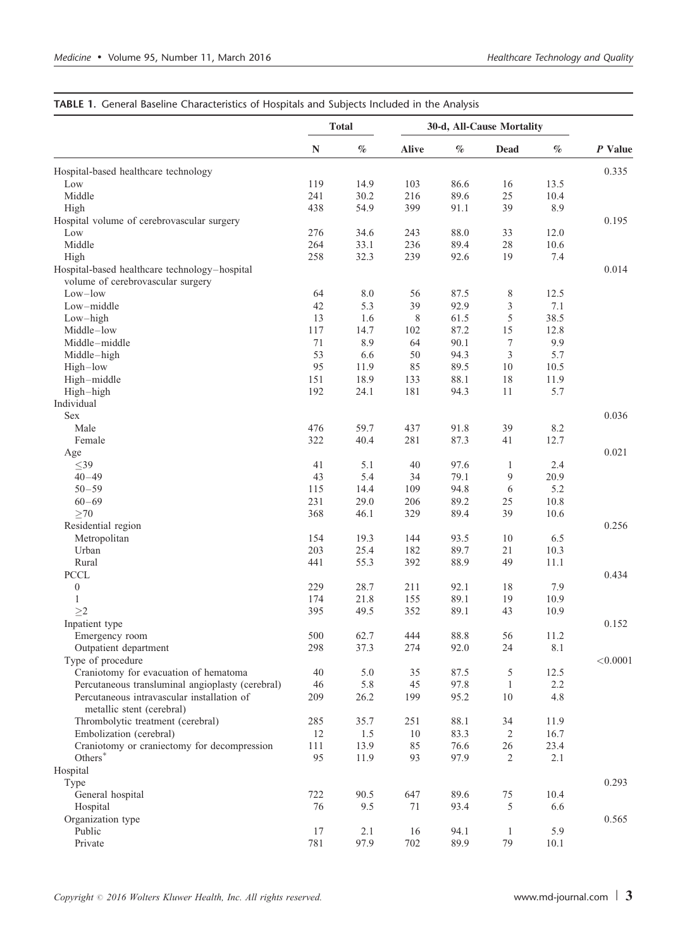<span id="page-2-0"></span>

|                                                  |           | <b>Total</b> | 30-d, All-Cause Mortality |      |              |      |          |
|--------------------------------------------------|-----------|--------------|---------------------------|------|--------------|------|----------|
|                                                  | ${\bf N}$ | $\%$         | <b>Alive</b>              | $\%$ | <b>Dead</b>  | $\%$ | P Value  |
| Hospital-based healthcare technology             |           |              |                           |      |              |      | 0.335    |
| Low                                              | 119       | 14.9         | 103                       | 86.6 | 16           | 13.5 |          |
| Middle                                           | 241       | 30.2         | 216                       | 89.6 | 25           | 10.4 |          |
| High                                             | 438       | 54.9         | 399                       | 91.1 | 39           | 8.9  |          |
| Hospital volume of cerebrovascular surgery       |           |              |                           |      |              |      | 0.195    |
| Low                                              | 276       | 34.6         | 243                       | 88.0 | 33           | 12.0 |          |
| Middle                                           | 264       | 33.1         | 236                       | 89.4 | 28           | 10.6 |          |
| High                                             | 258       | 32.3         | 239                       | 92.6 | 19           | 7.4  |          |
| Hospital-based healthcare technology-hospital    |           |              |                           |      |              |      | 0.014    |
| volume of cerebrovascular surgery                |           |              |                           |      |              |      |          |
| $Low$ -low                                       | 64        | 8.0          | 56                        | 87.5 | 8            | 12.5 |          |
| Low-middle                                       | 42        | 5.3          | 39                        | 92.9 | 3            | 7.1  |          |
| Low-high                                         | 13        | 1.6          | 8                         | 61.5 | 5            | 38.5 |          |
| Middle-low                                       | 117       | 14.7         | 102                       | 87.2 | 15           | 12.8 |          |
| Middle-middle                                    | 71        | 8.9          | 64                        | 90.1 | 7            | 9.9  |          |
| Middle-high                                      | 53        | 6.6          | 50                        | 94.3 | 3            | 5.7  |          |
| High-low                                         | 95        | 11.9         | 85                        | 89.5 | 10           | 10.5 |          |
| High-middle                                      | 151       | 18.9         | 133                       | 88.1 | 18           | 11.9 |          |
| High-high                                        | 192       | 24.1         | 181                       | 94.3 | 11           | 5.7  |          |
| Individual                                       |           |              |                           |      |              |      |          |
| Sex                                              |           |              |                           |      |              |      | 0.036    |
| Male                                             | 476       | 59.7         | 437                       | 91.8 | 39           | 8.2  |          |
| Female                                           | 322       | 40.4         | 281                       | 87.3 | 41           | 12.7 |          |
| Age                                              |           |              |                           |      |              |      | 0.021    |
| $<$ 39                                           | 41        | 5.1          | 40                        | 97.6 | 1            | 2.4  |          |
| $40 - 49$                                        | 43        | 5.4          | 34                        | 79.1 | 9            | 20.9 |          |
| $50 - 59$                                        | 115       | 14.4         | 109                       | 94.8 | 6            | 5.2  |          |
| $60 - 69$                                        | 231       | 29.0         | 206                       | 89.2 | 25           | 10.8 |          |
| >70                                              | 368       | 46.1         | 329                       | 89.4 | 39           | 10.6 |          |
| Residential region                               |           |              |                           |      |              |      | 0.256    |
| Metropolitan                                     | 154       | 19.3         | 144                       | 93.5 | 10           | 6.5  |          |
| Urban                                            | 203       | 25.4         | 182                       | 89.7 | 21           | 10.3 |          |
| Rural                                            | 441       | 55.3         | 392                       | 88.9 | 49           | 11.1 |          |
| $\ensuremath{\textit{PCCL}}$                     |           |              |                           |      |              |      | 0.434    |
| $\boldsymbol{0}$                                 | 229       | 28.7         | 211                       | 92.1 | 18           | 7.9  |          |
| 1                                                | 174       | 21.8         | 155                       | 89.1 | 19           | 10.9 |          |
| >2                                               | 395       | 49.5         | 352                       | 89.1 | 43           | 10.9 |          |
| Inpatient type                                   |           |              |                           |      |              |      | 0.152    |
| Emergency room                                   | 500       | 62.7         | 444                       | 88.8 | 56           | 11.2 |          |
| Outpatient department                            | 298       | 37.3         | 274                       | 92.0 | 24           | 8.1  |          |
| Type of procedure                                |           |              |                           |      |              |      | < 0.0001 |
| Craniotomy for evacuation of hematoma            | 40        | 5.0          | 35                        | 87.5 | 5            | 12.5 |          |
| Percutaneous transluminal angioplasty (cerebral) | 46        | 5.8          | 45                        | 97.8 | $\mathbf{1}$ | 2.2  |          |
| Percutaneous intravascular installation of       | 209       | 26.2         | 199                       | 95.2 | 10           | 4.8  |          |
| metallic stent (cerebral)                        |           |              |                           |      |              |      |          |
| Thrombolytic treatment (cerebral)                | 285       | 35.7         | 251                       | 88.1 | 34           | 11.9 |          |
| Embolization (cerebral)                          | 12        | 1.5          | 10                        | 83.3 | 2            | 16.7 |          |
| Craniotomy or craniectomy for decompression      | 111       | 13.9         | 85                        | 76.6 | 26           | 23.4 |          |
| Others $*$                                       | 95        | 11.9         | 93                        | 97.9 | 2            | 2.1  |          |
| Hospital                                         |           |              |                           |      |              |      |          |
| Type                                             |           |              |                           |      |              |      | 0.293    |
| General hospital                                 | 722       | 90.5         | 647                       | 89.6 | 75           | 10.4 |          |
| Hospital                                         | 76        | 9.5          | 71                        | 93.4 | 5            | 6.6  |          |
| Organization type                                |           |              |                           |      |              |      | 0.565    |
| Public                                           | 17        | 2.1          | 16                        | 94.1 | -1           | 5.9  |          |
| Private                                          | 781       | 97.9         | 702                       | 89.9 | 79           | 10.1 |          |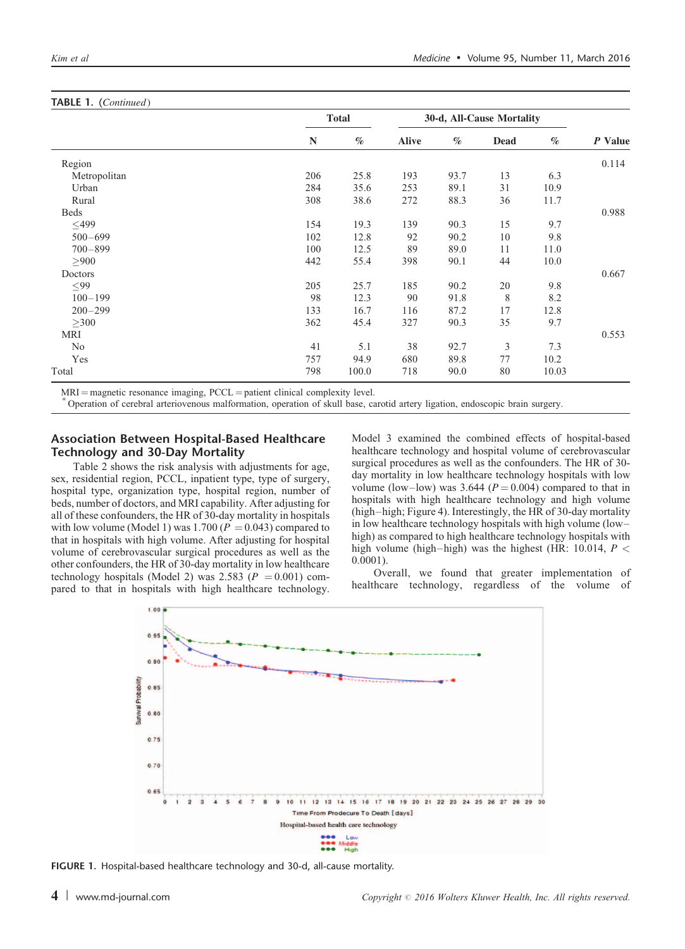|              |           | <b>Total</b> |              | 30-d, All-Cause Mortality |             |       |         |  |
|--------------|-----------|--------------|--------------|---------------------------|-------------|-------|---------|--|
|              | ${\bf N}$ | $\%$         | <b>Alive</b> | $\%$                      | <b>Dead</b> | $\%$  | P Value |  |
| Region       |           |              |              |                           |             |       | 0.114   |  |
| Metropolitan | 206       | 25.8         | 193          | 93.7                      | 13          | 6.3   |         |  |
| Urban        | 284       | 35.6         | 253          | 89.1                      | 31          | 10.9  |         |  |
| Rural        | 308       | 38.6         | 272          | 88.3                      | 36          | 11.7  |         |  |
| <b>Beds</b>  |           |              |              |                           |             |       | 0.988   |  |
| $<$ 499      | 154       | 19.3         | 139          | 90.3                      | 15          | 9.7   |         |  |
| $500 - 699$  | 102       | 12.8         | 92           | 90.2                      | 10          | 9.8   |         |  |
| $700 - 899$  | 100       | 12.5         | 89           | 89.0                      | 11          | 11.0  |         |  |
| >900         | 442       | 55.4         | 398          | 90.1                      | 44          | 10.0  |         |  |
| Doctors      |           |              |              |                           |             |       | 0.667   |  |
| $\leq 99$    | 205       | 25.7         | 185          | 90.2                      | 20          | 9.8   |         |  |
| $100 - 199$  | 98        | 12.3         | 90           | 91.8                      | 8           | 8.2   |         |  |
| $200 - 299$  | 133       | 16.7         | 116          | 87.2                      | 17          | 12.8  |         |  |
| >300         | 362       | 45.4         | 327          | 90.3                      | 35          | 9.7   |         |  |
| <b>MRI</b>   |           |              |              |                           |             |       | 0.553   |  |
| No           | 41        | 5.1          | 38           | 92.7                      | 3           | 7.3   |         |  |
| Yes          | 757       | 94.9         | 680          | 89.8                      | 77          | 10.2  |         |  |
| Total        | 798       | 100.0        | 718          | 90.0                      | 80          | 10.03 |         |  |

<span id="page-3-0"></span>TABLE 1. (Continued)

MRI = magnetic resonance imaging, PCCL = patient clinical complexity level.<br>\* Operation of cerebral arteriovenous malformation, operation of skull base, carotid artery ligation, endoscopic brain surgery.

# Association Between Hospital-Based Healthcare Technology and 30-Day Mortality

[Table 2](#page-5-0) shows the risk analysis with adjustments for age, sex, residential region, PCCL, inpatient type, type of surgery, hospital type, organization type, hospital region, number of beds, number of doctors, and MRI capability. After adjusting for all of these confounders, the HR of 30-day mortality in hospitals with low volume (Model 1) was 1.700 ( $P = 0.043$ ) compared to that in hospitals with high volume. After adjusting for hospital volume of cerebrovascular surgical procedures as well as the other confounders, the HR of 30-day mortality in low healthcare technology hospitals (Model 2) was 2.583 ( $P = 0.001$ ) compared to that in hospitals with high healthcare technology. Model 3 examined the combined effects of hospital-based healthcare technology and hospital volume of cerebrovascular surgical procedures as well as the confounders. The HR of 30 day mortality in low healthcare technology hospitals with low volume (low–low) was 3.644 ( $P = 0.004$ ) compared to that in hospitals with high healthcare technology and high volume (high–high; [Figure 4\)](#page-6-0). Interestingly, the HR of 30-day mortality in low healthcare technology hospitals with high volume (low– high) as compared to high healthcare technology hospitals with high volume (high–high) was the highest (HR: 10.014,  $P \leq$ 0.0001).

Overall, we found that greater implementation of healthcare technology, regardless of the volume of



FIGURE 1. Hospital-based healthcare technology and 30-d, all-cause mortality.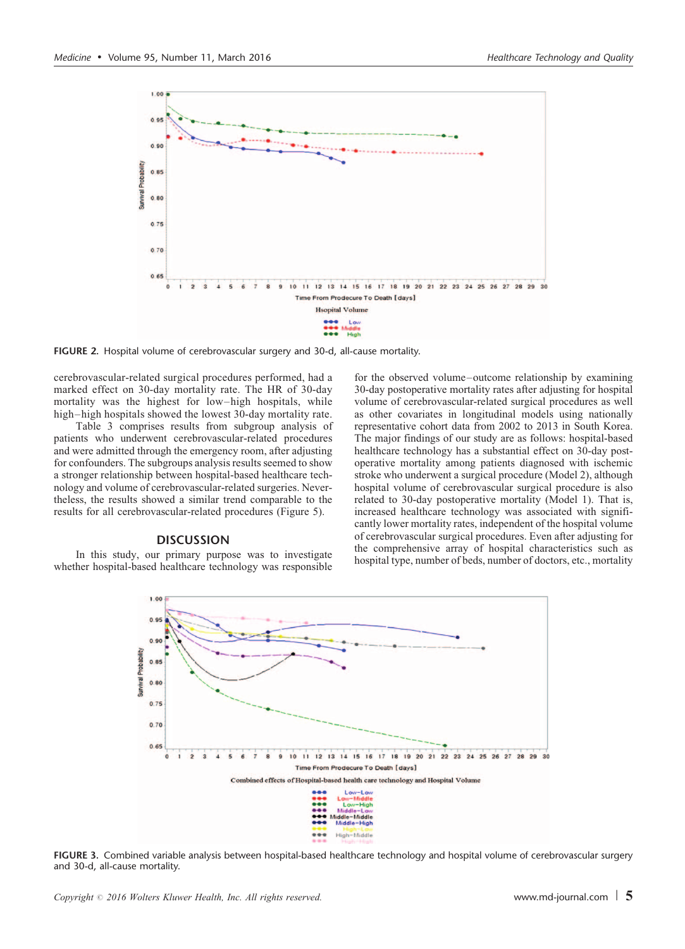

FIGURE 2. Hospital volume of cerebrovascular surgery and 30-d, all-cause mortality.

cerebrovascular-related surgical procedures performed, had a marked effect on 30-day mortality rate. The HR of 30-day mortality was the highest for low–high hospitals, while high–high hospitals showed the lowest 30-day mortality rate.

[Table 3](#page-7-0) comprises results from subgroup analysis of patients who underwent cerebrovascular-related procedures and were admitted through the emergency room, after adjusting for confounders. The subgroups analysis results seemed to show a stronger relationship between hospital-based healthcare technology and volume of cerebrovascular-related surgeries. Nevertheless, the results showed a similar trend comparable to the results for all cerebrovascular-related procedures ([Figure 5\)](#page-7-0).

#### **DISCUSSION**

In this study, our primary purpose was to investigate whether hospital-based healthcare technology was responsible for the observed volume–outcome relationship by examining 30-day postoperative mortality rates after adjusting for hospital volume of cerebrovascular-related surgical procedures as well as other covariates in longitudinal models using nationally representative cohort data from 2002 to 2013 in South Korea. The major findings of our study are as follows: hospital-based healthcare technology has a substantial effect on 30-day postoperative mortality among patients diagnosed with ischemic stroke who underwent a surgical procedure (Model 2), although hospital volume of cerebrovascular surgical procedure is also related to 30-day postoperative mortality (Model 1). That is, increased healthcare technology was associated with significantly lower mortality rates, independent of the hospital volume of cerebrovascular surgical procedures. Even after adjusting for the comprehensive array of hospital characteristics such as hospital type, number of beds, number of doctors, etc., mortality



FIGURE 3. Combined variable analysis between hospital-based healthcare technology and hospital volume of cerebrovascular surgery and 30-d, all-cause mortality.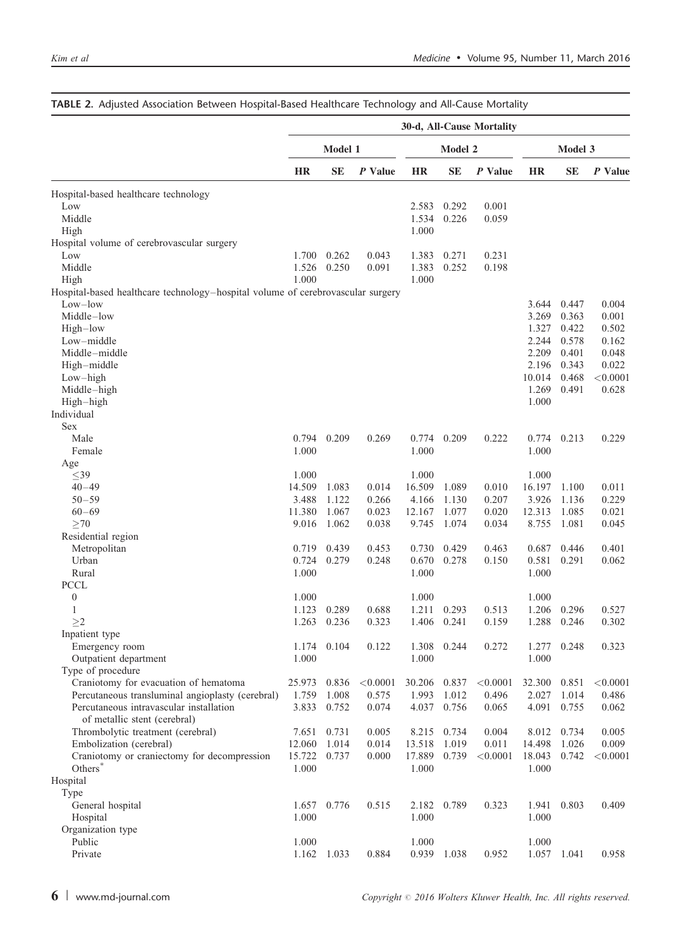|                                                                                 | 30-d, All-Cause Mortality |                |                |                 |                |                |                 |                |                |
|---------------------------------------------------------------------------------|---------------------------|----------------|----------------|-----------------|----------------|----------------|-----------------|----------------|----------------|
|                                                                                 | Model 1                   |                |                |                 | Model 2        |                | Model 3         |                |                |
|                                                                                 | <b>HR</b>                 | <b>SE</b>      | P Value        | <b>HR</b>       | <b>SE</b>      | P Value        | <b>HR</b>       | <b>SE</b>      | P Value        |
| Hospital-based healthcare technology                                            |                           |                |                |                 |                |                |                 |                |                |
| Low                                                                             |                           |                |                | 2.583           | 0.292          | 0.001          |                 |                |                |
| Middle                                                                          |                           |                |                | 1.534           | 0.226          | 0.059          |                 |                |                |
| High                                                                            |                           |                |                | 1.000           |                |                |                 |                |                |
| Hospital volume of cerebrovascular surgery                                      |                           |                |                |                 |                |                |                 |                |                |
| Low                                                                             |                           | 1.700 0.262    | 0.043          | 1.383           | 0.271          | 0.231          |                 |                |                |
| Middle                                                                          | 1.526                     | 0.250          | 0.091          | 1.383           | 0.252          | 0.198          |                 |                |                |
| High                                                                            | 1.000                     |                |                | 1.000           |                |                |                 |                |                |
| Hospital-based healthcare technology-hospital volume of cerebrovascular surgery |                           |                |                |                 |                |                |                 |                |                |
| $Low$ -low                                                                      |                           |                |                |                 |                |                | 3.644           | 0.447          | 0.004          |
| Middle-low                                                                      |                           |                |                |                 |                |                | 3.269           | 0.363          | 0.001          |
| $High-low$                                                                      |                           |                |                |                 |                |                | 1.327           | 0.422          | 0.502          |
| Low-middle                                                                      |                           |                |                |                 |                |                | 2.244           | 0.578          | 0.162          |
| Middle-middle                                                                   |                           |                |                |                 |                |                | 2.209           | 0.401          | 0.048          |
| High-middle                                                                     |                           |                |                |                 |                |                | 2.196           | 0.343          | 0.022          |
| $Low - high$                                                                    |                           |                |                |                 |                |                | 10.014          | 0.468          | ${<}0.0001$    |
| Middle-high                                                                     |                           |                |                |                 |                |                | 1.269           | 0.491          | 0.628          |
| High-high                                                                       |                           |                |                |                 |                |                | 1.000           |                |                |
| Individual                                                                      |                           |                |                |                 |                |                |                 |                |                |
| <b>Sex</b>                                                                      |                           |                |                |                 |                |                |                 |                |                |
| Male                                                                            |                           | 0.794 0.209    | 0.269          |                 | 0.774 0.209    | 0.222          | 0.774           | 0.213          | 0.229          |
| Female                                                                          | 1.000                     |                |                | 1.000           |                |                | 1.000           |                |                |
|                                                                                 |                           |                |                |                 |                |                |                 |                |                |
| Age<br>$<$ 39                                                                   | 1.000                     |                |                | 1.000           |                |                |                 |                |                |
|                                                                                 |                           |                |                |                 |                |                | 1.000           |                |                |
| $40 - 49$<br>$50 - 59$                                                          | 14.509<br>3.488           | 1.083<br>1.122 | 0.014<br>0.266 | 16.509<br>4.166 | 1.089<br>1.130 | 0.010<br>0.207 | 16.197<br>3.926 | 1.100<br>1.136 | 0.011<br>0.229 |
|                                                                                 |                           |                |                |                 |                |                |                 |                |                |
| $60 - 69$                                                                       | 11.380                    | 1.067          | 0.023          | 12.167          | 1.077          | 0.020          | 12.313          | 1.085          | 0.021          |
| $\geq 70$                                                                       | 9.016                     | 1.062          | 0.038          | 9.745           | 1.074          | 0.034          | 8.755           | 1.081          | 0.045          |
| Residential region                                                              |                           |                |                |                 |                |                |                 |                |                |
| Metropolitan                                                                    | 0.719<br>0.724            | 0.439          | 0.453          | 0.730           | 0.429          | 0.463          | 0.687           | 0.446          | 0.401          |
| Urban                                                                           |                           | 0.279          | 0.248          | 0.670           | 0.278          | 0.150          | 0.581           | 0.291          | 0.062          |
| Rural                                                                           | 1.000                     |                |                | 1.000           |                |                | 1.000           |                |                |
| <b>PCCL</b>                                                                     |                           |                |                |                 |                |                |                 |                |                |
| $\boldsymbol{0}$                                                                | 1.000                     |                |                | 1.000           |                |                | 1.000           |                |                |
| 1                                                                               | 1.123                     | 0.289          | 0.688          | 1.211           | 0.293          | 0.513          | 1.206           | 0.296          | 0.527          |
| >2                                                                              | 1.263                     | 0.236          | 0.323          | 1.406           | 0.241          | 0.159          | 1.288           | 0.246          | 0.302          |
| Inpatient type                                                                  |                           |                |                |                 |                |                |                 |                |                |
| Emergency room                                                                  |                           | 1.174 0.104    | 0.122          |                 | 1.308 0.244    | 0.272          |                 | 1.277 0.248    | 0.323          |
| Outpatient department                                                           | $1.000\,$                 |                |                | $1.000\,$       |                |                | $1.000\,$       |                |                |
| Type of procedure                                                               |                           |                |                |                 |                |                |                 |                |                |
| Craniotomy for evacuation of hematoma                                           | 25.973                    | 0.836          | < 0.0001       | 30.206 0.837    |                | < 0.0001       | 32.300          | 0.851          | < 0.0001       |
| Percutaneous transluminal angioplasty (cerebral)                                | 1.759                     | 1.008          | 0.575          | 1.993           | 1.012          | 0.496          | 2.027           | 1.014          | 0.486          |
| Percutaneous intravascular installation                                         | 3.833                     | 0.752          | 0.074          | 4.037           | 0.756          | 0.065          | 4.091           | 0.755          | 0.062          |
| of metallic stent (cerebral)                                                    |                           |                |                |                 |                |                |                 |                |                |
| Thrombolytic treatment (cerebral)                                               | 7.651                     | 0.731          | 0.005          | 8.215           | 0.734          | 0.004          | 8.012           | 0.734          | 0.005          |
| Embolization (cerebral)                                                         | 12.060                    | 1.014          | 0.014          | 13.518          | 1.019          | 0.011          | 14.498          | 1.026          | 0.009          |
| Craniotomy or craniectomy for decompression                                     | 15.722                    | 0.737          | 0.000          | 17.889          | 0.739          | < 0.0001       | 18.043          | 0.742          | < 0.0001       |
| Others <sup>*</sup>                                                             | 1.000                     |                |                | 1.000           |                |                | 1.000           |                |                |
| Hospital                                                                        |                           |                |                |                 |                |                |                 |                |                |
| Type                                                                            |                           |                |                |                 |                |                |                 |                |                |
| General hospital                                                                |                           | 1.657 0.776    | 0.515          |                 | 2.182 0.789    | 0.323          | 1.941           | 0.803          | 0.409          |
| Hospital                                                                        | 1.000                     |                |                | 1.000           |                |                | 1.000           |                |                |
| Organization type                                                               |                           |                |                |                 |                |                |                 |                |                |
| Public                                                                          | 1.000                     |                |                | 1.000           |                |                | 1.000           |                |                |
| Private                                                                         | 1.162                     | 1.033          | 0.884          |                 | 0.939 1.038    | 0.952          |                 | 1.057 1.041    | 0.958          |

# <span id="page-5-0"></span>TABLE 2. Adjusted Association Between Hospital-Based Healthcare Technology and All-Cause Mortality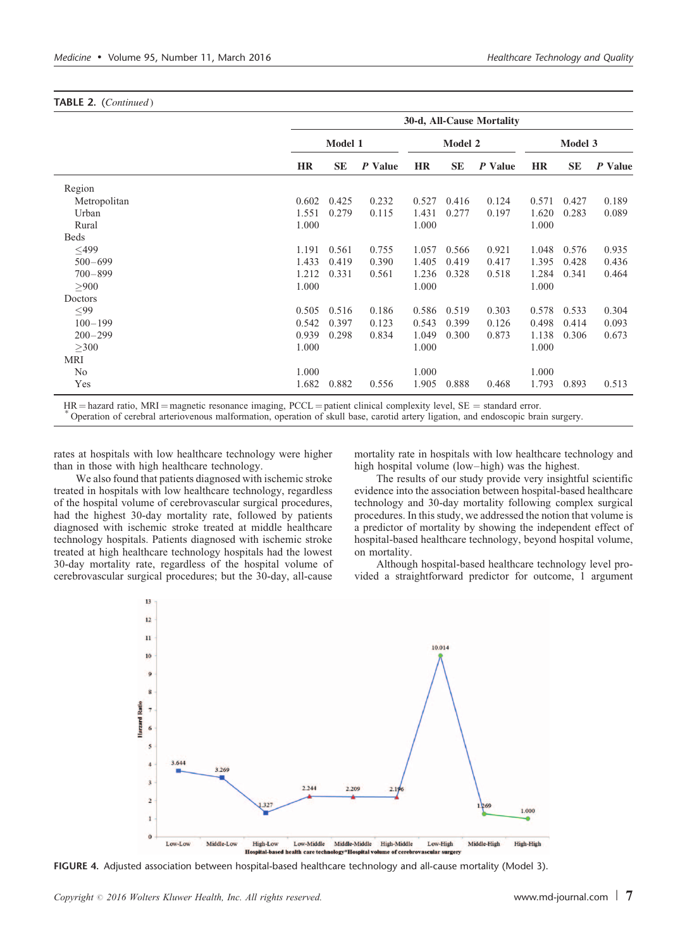# <span id="page-6-0"></span>TABLE 2. (Continued)

|              | 30-d, All-Cause Mortality |           |         |           |           |         |           |           |         |  |
|--------------|---------------------------|-----------|---------|-----------|-----------|---------|-----------|-----------|---------|--|
|              |                           | Model 1   |         |           | Model 2   |         |           | Model 3   |         |  |
|              | <b>HR</b>                 | <b>SE</b> | P Value | <b>HR</b> | <b>SE</b> | P Value | <b>HR</b> | <b>SE</b> | P Value |  |
| Region       |                           |           |         |           |           |         |           |           |         |  |
| Metropolitan | 0.602                     | 0.425     | 0.232   | 0.527     | 0.416     | 0.124   | 0.571     | 0.427     | 0.189   |  |
| Urban        | 1.551                     | 0.279     | 0.115   | 1.431     | 0.277     | 0.197   | 1.620     | 0.283     | 0.089   |  |
| Rural        | 1.000                     |           |         | 1.000     |           |         | 1.000     |           |         |  |
| <b>Beds</b>  |                           |           |         |           |           |         |           |           |         |  |
| $<$ 499      | 1.191                     | 0.561     | 0.755   | 1.057     | 0.566     | 0.921   | 1.048     | 0.576     | 0.935   |  |
| $500 - 699$  | 1.433                     | 0.419     | 0.390   | 1.405     | 0.419     | 0.417   | 1.395     | 0.428     | 0.436   |  |
| $700 - 899$  | 1.212                     | 0.331     | 0.561   | 1.236     | 0.328     | 0.518   | 1.284     | 0.341     | 0.464   |  |
| > 900        | 1.000                     |           |         | 1.000     |           |         | 1.000     |           |         |  |
| Doctors      |                           |           |         |           |           |         |           |           |         |  |
| < 99         | 0.505                     | 0.516     | 0.186   | 0.586     | 0.519     | 0.303   | 0.578     | 0.533     | 0.304   |  |
| $100 - 199$  | 0.542                     | 0.397     | 0.123   | 0.543     | 0.399     | 0.126   | 0.498     | 0.414     | 0.093   |  |
| $200 - 299$  | 0.939                     | 0.298     | 0.834   | 1.049     | 0.300     | 0.873   | 1.138     | 0.306     | 0.673   |  |
| >300         | 1.000                     |           |         | 1.000     |           |         | 1.000     |           |         |  |
| MRI          |                           |           |         |           |           |         |           |           |         |  |
| No           | 1.000                     |           |         | 1.000     |           |         | 1.000     |           |         |  |
| Yes          | 1.682                     | 0.882     | 0.556   | 1.905     | 0.888     | 0.468   | 1.793     | 0.893     | 0.513   |  |

 $HR =$  hazard ratio,  $MRI =$  magnetic resonance imaging,  $PCL =$  patient clinical complexity level,  $SE =$  standard error.<br>\* Operation of cerebral arteriovenous malformation, operation of skull base, carotid artery ligation, and e

rates at hospitals with low healthcare technology were higher than in those with high healthcare technology.

mortality rate in hospitals with low healthcare technology and high hospital volume (low–high) was the highest.

We also found that patients diagnosed with ischemic stroke treated in hospitals with low healthcare technology, regardless of the hospital volume of cerebrovascular surgical procedures, had the highest 30-day mortality rate, followed by patients diagnosed with ischemic stroke treated at middle healthcare technology hospitals. Patients diagnosed with ischemic stroke treated at high healthcare technology hospitals had the lowest 30-day mortality rate, regardless of the hospital volume of cerebrovascular surgical procedures; but the 30-day, all-cause

The results of our study provide very insightful scientific evidence into the association between hospital-based healthcare technology and 30-day mortality following complex surgical procedures. In this study, we addressed the notion that volume is a predictor of mortality by showing the independent effect of hospital-based healthcare technology, beyond hospital volume, on mortality.

Although hospital-based healthcare technology level provided a straightforward predictor for outcome, 1 argument



FIGURE 4. Adjusted association between hospital-based healthcare technology and all-cause mortality (Model 3).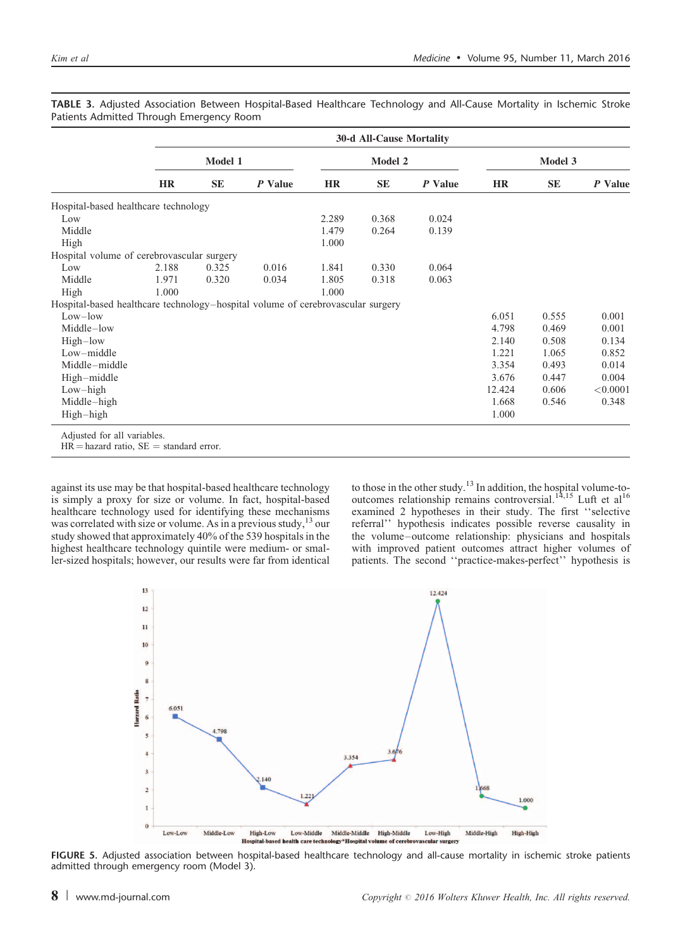|                                                                                 |         | 30-d All-Cause Mortality |         |           |           |         |           |           |          |  |  |
|---------------------------------------------------------------------------------|---------|--------------------------|---------|-----------|-----------|---------|-----------|-----------|----------|--|--|
|                                                                                 | Model 1 |                          |         |           | Model 2   |         | Model 3   |           |          |  |  |
|                                                                                 | HR      | <b>SE</b>                | P Value | <b>HR</b> | <b>SE</b> | P Value | <b>HR</b> | <b>SE</b> | P Value  |  |  |
| Hospital-based healthcare technology                                            |         |                          |         |           |           |         |           |           |          |  |  |
| Low                                                                             |         |                          |         | 2.289     | 0.368     | 0.024   |           |           |          |  |  |
| Middle                                                                          |         |                          |         | 1.479     | 0.264     | 0.139   |           |           |          |  |  |
| High                                                                            |         |                          |         | 1.000     |           |         |           |           |          |  |  |
| Hospital volume of cerebrovascular surgery                                      |         |                          |         |           |           |         |           |           |          |  |  |
| Low                                                                             | 2.188   | 0.325                    | 0.016   | 1.841     | 0.330     | 0.064   |           |           |          |  |  |
| Middle                                                                          | 1.971   | 0.320                    | 0.034   | 1.805     | 0.318     | 0.063   |           |           |          |  |  |
| High                                                                            | 1.000   |                          |         | 1.000     |           |         |           |           |          |  |  |
| Hospital-based healthcare technology-hospital volume of cerebrovascular surgery |         |                          |         |           |           |         |           |           |          |  |  |
| $Low-low$                                                                       |         |                          |         |           |           |         | 6.051     | 0.555     | 0.001    |  |  |
| Middle-low                                                                      |         |                          |         |           |           |         | 4.798     | 0.469     | 0.001    |  |  |
| High-low                                                                        |         |                          |         |           |           |         | 2.140     | 0.508     | 0.134    |  |  |
| Low-middle                                                                      |         |                          |         |           |           |         | 1.221     | 1.065     | 0.852    |  |  |
| Middle-middle                                                                   |         |                          |         |           |           |         | 3.354     | 0.493     | 0.014    |  |  |
| High-middle                                                                     |         |                          |         |           |           |         | 3.676     | 0.447     | 0.004    |  |  |
| $Low - high$                                                                    |         |                          |         |           |           |         | 12.424    | 0.606     | < 0.0001 |  |  |
| Middle-high                                                                     |         |                          |         |           |           |         | 1.668     | 0.546     | 0.348    |  |  |
| High-high                                                                       |         |                          |         |           |           |         | 1.000     |           |          |  |  |
| Adjusted for all variables.                                                     |         |                          |         |           |           |         |           |           |          |  |  |

<span id="page-7-0"></span>TABLE 3. Adjusted Association Between Hospital-Based Healthcare Technology and All-Cause Mortality in Ischemic Stroke Patients Admitted Through Emergency Room

 $HR =$  hazard ratio,  $SE =$  standard error.

against its use may be that hospital-based healthcare technology is simply a proxy for size or volume. In fact, hospital-based healthcare technology used for identifying these mechanisms was correlated with size or volume. As in a previous study,<sup>[13](#page-9-0)</sup> our study showed that approximately 40% of the 539 hospitals in the highest healthcare technology quintile were medium- or smaller-sized hospitals; however, our results were far from identical

to those in the other study.<sup>[13](#page-9-0)</sup> In addition, the hospital volume-to-outcomes relationship remains controversial.<sup>[14,15](#page-9-0)</sup> Luft et al<sup>16</sup> examined 2 hypotheses in their study. The first ''selective referral'' hypothesis indicates possible reverse causality in the volume–outcome relationship: physicians and hospitals with improved patient outcomes attract higher volumes of patients. The second ''practice-makes-perfect'' hypothesis is



FIGURE 5. Adjusted association between hospital-based healthcare technology and all-cause mortality in ischemic stroke patients admitted through emergency room (Model 3).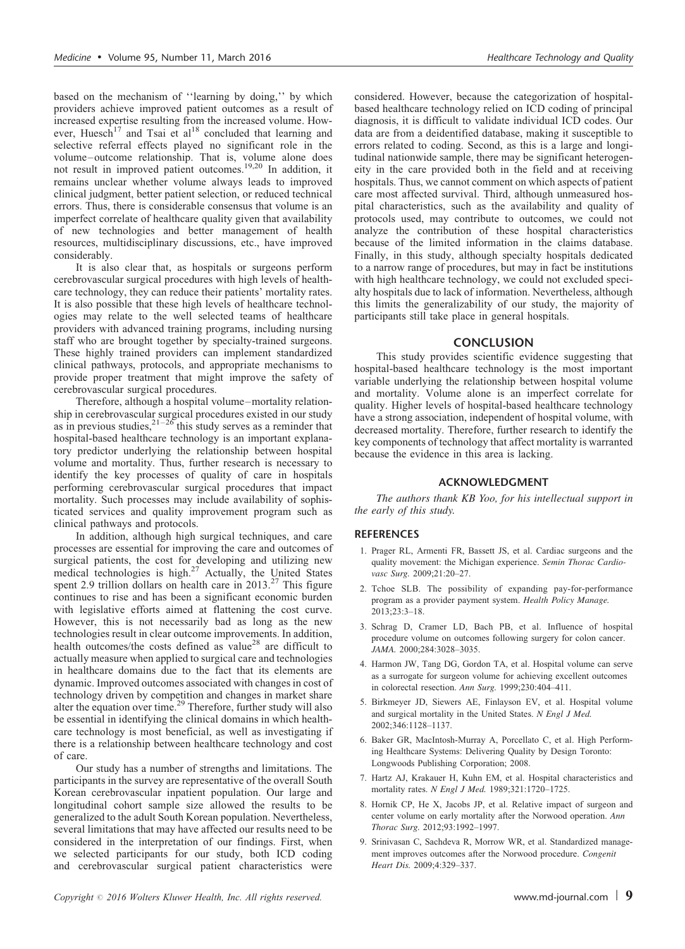<span id="page-8-0"></span>based on the mechanism of ''learning by doing,'' by which providers achieve improved patient outcomes as a result of increased expertise resulting from the increased volume. How-ever, Huesch<sup>[17](#page-9-0)</sup> and Tsai et al<sup>18</sup> concluded that learning and selective referral effects played no significant role in the volume–outcome relationship. That is, volume alone does not result in improved patient outcomes.[19,20](#page-9-0) In addition, it remains unclear whether volume always leads to improved clinical judgment, better patient selection, or reduced technical errors. Thus, there is considerable consensus that volume is an imperfect correlate of healthcare quality given that availability of new technologies and better management of health resources, multidisciplinary discussions, etc., have improved considerably.

It is also clear that, as hospitals or surgeons perform cerebrovascular surgical procedures with high levels of healthcare technology, they can reduce their patients' mortality rates. It is also possible that these high levels of healthcare technologies may relate to the well selected teams of healthcare providers with advanced training programs, including nursing staff who are brought together by specialty-trained surgeons. These highly trained providers can implement standardized clinical pathways, protocols, and appropriate mechanisms to provide proper treatment that might improve the safety of cerebrovascular surgical procedures.

Therefore, although a hospital volume–mortality relationship in cerebrovascular surgical procedures existed in our study as in previous studies,  $2^{1-26}$  this study serves as a reminder that hospital-based healthcare technology is an important explanatory predictor underlying the relationship between hospital volume and mortality. Thus, further research is necessary to identify the key processes of quality of care in hospitals performing cerebrovascular surgical procedures that impact mortality. Such processes may include availability of sophisticated services and quality improvement program such as clinical pathways and protocols.

In addition, although high surgical techniques, and care processes are essential for improving the care and outcomes of surgical patients, the cost for developing and utilizing new<br>medical technologies is high.<sup>[27](#page-9-0)</sup> Actually, the United States spent 2.9 trillion dollars on health care in  $2013<sup>27</sup>$  $2013<sup>27</sup>$  $2013<sup>27</sup>$  This figure continues to rise and has been a significant economic burden with legislative efforts aimed at flattening the cost curve. However, this is not necessarily bad as long as the new technologies result in clear outcome improvements. In addition, health outcomes/the costs defined as value<sup>[28](#page-9-0)</sup> are difficult to actually measure when applied to surgical care and technologies in healthcare domains due to the fact that its elements are dynamic. Improved outcomes associated with changes in cost of technology driven by competition and changes in market share alter the equation over time.[29](#page-9-0) Therefore, further study will also be essential in identifying the clinical domains in which healthcare technology is most beneficial, as well as investigating if there is a relationship between healthcare technology and cost of care.

Our study has a number of strengths and limitations. The participants in the survey are representative of the overall South Korean cerebrovascular inpatient population. Our large and longitudinal cohort sample size allowed the results to be generalized to the adult South Korean population. Nevertheless, several limitations that may have affected our results need to be considered in the interpretation of our findings. First, when we selected participants for our study, both ICD coding and cerebrovascular surgical patient characteristics were considered. However, because the categorization of hospitalbased healthcare technology relied on ICD coding of principal diagnosis, it is difficult to validate individual ICD codes. Our data are from a deidentified database, making it susceptible to errors related to coding. Second, as this is a large and longitudinal nationwide sample, there may be significant heterogeneity in the care provided both in the field and at receiving hospitals. Thus, we cannot comment on which aspects of patient care most affected survival. Third, although unmeasured hospital characteristics, such as the availability and quality of protocols used, may contribute to outcomes, we could not analyze the contribution of these hospital characteristics because of the limited information in the claims database. Finally, in this study, although specialty hospitals dedicated to a narrow range of procedures, but may in fact be institutions with high healthcare technology, we could not excluded specialty hospitals due to lack of information. Nevertheless, although this limits the generalizability of our study, the majority of participants still take place in general hospitals.

## **CONCLUSION**

This study provides scientific evidence suggesting that hospital-based healthcare technology is the most important variable underlying the relationship between hospital volume and mortality. Volume alone is an imperfect correlate for quality. Higher levels of hospital-based healthcare technology have a strong association, independent of hospital volume, with decreased mortality. Therefore, further research to identify the key components of technology that affect mortality is warranted because the evidence in this area is lacking.

## ACKNOWLEDGMENT

The authors thank KB Yoo, for his intellectual support in the early of this study.

#### REFERENCES

- 1. Prager RL, Armenti FR, Bassett JS, et al. Cardiac surgeons and the quality movement: the Michigan experience. Semin Thorac Cardiovasc Surg. 2009;21:20-27.
- 2. Tchoe SLB. The possibility of expanding pay-for-performance program as a provider payment system. Health Policy Manage. 2013;23:3–18.
- 3. Schrag D, Cramer LD, Bach PB, et al. Influence of hospital procedure volume on outcomes following surgery for colon cancer. JAMA. 2000;284:3028–3035.
- 4. Harmon JW, Tang DG, Gordon TA, et al. Hospital volume can serve as a surrogate for surgeon volume for achieving excellent outcomes in colorectal resection. Ann Surg. 1999;230:404–411.
- 5. Birkmeyer JD, Siewers AE, Finlayson EV, et al. Hospital volume and surgical mortality in the United States. N Engl J Med. 2002;346:1128–1137.
- 6. Baker GR, MacIntosh-Murray A, Porcellato C, et al. High Performing Healthcare Systems: Delivering Quality by Design Toronto: Longwoods Publishing Corporation; 2008.
- 7. Hartz AJ, Krakauer H, Kuhn EM, et al. Hospital characteristics and mortality rates. N Engl J Med. 1989;321:1720–1725.
- 8. Hornik CP, He X, Jacobs JP, et al. Relative impact of surgeon and center volume on early mortality after the Norwood operation. Ann Thorac Surg. 2012;93:1992–1997.
- 9. Srinivasan C, Sachdeva R, Morrow WR, et al. Standardized management improves outcomes after the Norwood procedure. Congenit Heart Dis. 2009;4:329–337.